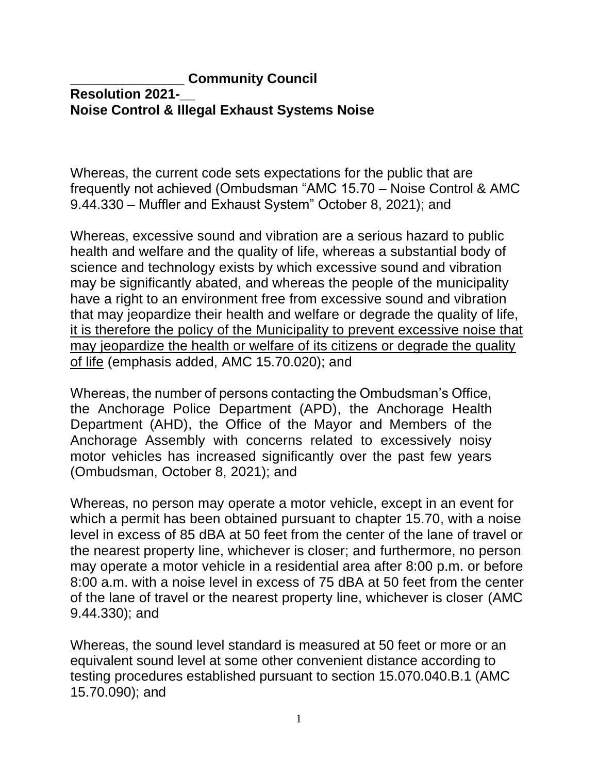## **\_\_\_\_\_\_\_\_\_\_\_\_\_\_\_ Community Council Resolution 2021-\_\_ Noise Control & Illegal Exhaust Systems Noise**

Whereas, the current code sets expectations for the public that are frequently not achieved (Ombudsman "AMC 15.70 – Noise Control & AMC 9.44.330 – Muffler and Exhaust System" October 8, 2021); and

Whereas, excessive sound and vibration are a serious hazard to public health and welfare and the quality of life, whereas a substantial body of science and technology exists by which excessive sound and vibration may be significantly abated, and whereas the people of the municipality have a right to an environment free from excessive sound and vibration that may jeopardize their health and welfare or degrade the quality of life, it is therefore the policy of the Municipality to prevent excessive noise that may jeopardize the health or welfare of its citizens or degrade the quality of life (emphasis added, AMC 15.70.020); and

Whereas, the number of persons contacting the Ombudsman's Office, the Anchorage Police Department (APD), the Anchorage Health Department (AHD), the Office of the Mayor and Members of the Anchorage Assembly with concerns related to excessively noisy motor vehicles has increased significantly over the past few years (Ombudsman, October 8, 2021); and

Whereas, no person may operate a motor vehicle, except in an event for which a permit has been obtained pursuant to [chapter 15.70,](https://library.municode.com/ak/anchorage/codes/code_of_ordinances?nodeId=TIT15ENPR_CH15.70NOCO) with a noise level in excess of 85 dBA at 50 feet from the center of the lane of travel or the nearest property line, whichever is closer; and furthermore, no person may operate a motor vehicle in a residential area after 8:00 p.m. or before 8:00 a.m. with a noise level in excess of 75 dBA at 50 feet from the center of the lane of travel or the nearest property line, whichever is closer (AMC 9.44.330); and

Whereas, the sound level standard is measured at 50 feet or more or an equivalent sound level at some other convenient distance according to testing procedures established pursuant to section 15.070.040.B.1 (AMC 15.70.090); and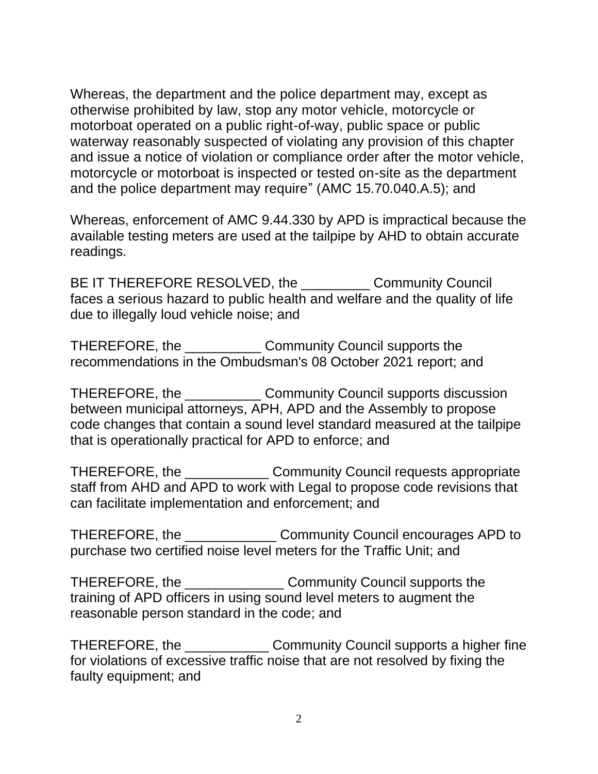Whereas, the department and the police department may, except as otherwise prohibited by law, stop any motor vehicle, motorcycle or motorboat operated on a public right-of-way, public space or public waterway reasonably suspected of violating any provision of this chapter and issue a notice of violation or compliance order after the motor vehicle, motorcycle or motorboat is inspected or tested on-site as the department and the police department may require" (AMC 15.70.040.A.5); and

Whereas, enforcement of AMC 9.44.330 by APD is impractical because the available testing meters are used at the tailpipe by AHD to obtain accurate readings.

BE IT THEREFORE RESOLVED, the \_\_\_\_\_\_\_\_\_\_\_\_ Community Council faces a serious hazard to public health and welfare and the quality of life due to illegally loud vehicle noise; and

THEREFORE, the \_\_\_\_\_\_\_\_\_\_ Community Council supports the recommendations in the Ombudsman's 08 October 2021 report; and

THEREFORE, the \_\_\_\_\_\_\_\_\_\_ Community Council supports discussion between municipal attorneys, APH, APD and the Assembly to propose code changes that contain a sound level standard measured at the tailpipe that is operationally practical for APD to enforce; and

THEREFORE, the \_\_\_\_\_\_\_\_\_\_\_ Community Council requests appropriate staff from AHD and APD to work with Legal to propose code revisions that can facilitate implementation and enforcement; and

THEREFORE, the \_\_\_\_\_\_\_\_\_\_\_\_ Community Council encourages APD to purchase two certified noise level meters for the Traffic Unit; and

THEREFORE, the \_\_\_\_\_\_\_\_\_\_\_\_\_ Community Council supports the training of APD officers in using sound level meters to augment the reasonable person standard in the code; and

THEREFORE, the Community Council supports a higher fine for violations of excessive traffic noise that are not resolved by fixing the faulty equipment; and